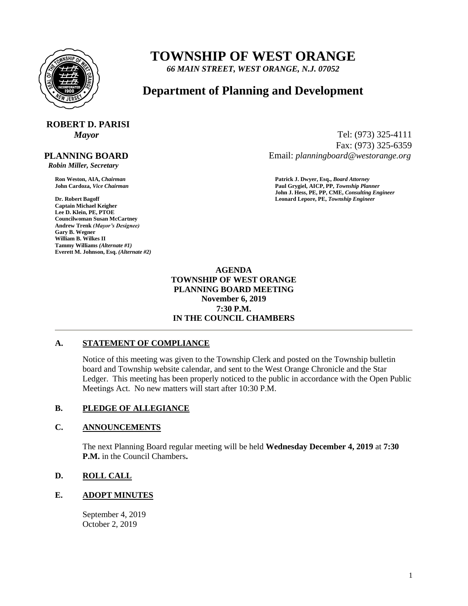

## **TOWNSHIP OF WEST ORANGE**

*66 MAIN STREET, WEST ORANGE, N.J. 07052*

### **Department of Planning and Development**

# **ROBERT D. PARISI**

 **PLANNING BOARD**

 *Robin Miller, Secretary*

**Captain Michael Keigher Lee D. Klein, PE, PTOE Councilwoman Susan McCartney Andrew Trenk** *(Mayor's Designee)* **Gary B. Wegner William B. Wilkes II Tammy Williams** *(Alternate #1)* **Everett M. Johnson, Esq.** *(Alternate #2)*

*Mayor* Tel: (973) 325-4111 Fax: (973) 325-6359 Email: *planningboard@westorange.org*

**Ron Weston, AIA,** *Chairman* **Patrick J. Dwyer, Esq.,** *Board Attorney* **John Cardoza,** *Vice Chairman* **Paul Grygiel, AICP, PP,** *Township Planner* **John J. Hess, PE, PP, CME,** *Consulting Engineer* **Dr. Robert Bagoff Leonard Lepore, PE,** *Township Engineer*

> **AGENDA TOWNSHIP OF WEST ORANGE PLANNING BOARD MEETING November 6, 2019 7:30 P.M. IN THE COUNCIL CHAMBERS**

#### **A. STATEMENT OF COMPLIANCE**

Notice of this meeting was given to the Township Clerk and posted on the Township bulletin board and Township website calendar, and sent to the West Orange Chronicle and the Star Ledger. This meeting has been properly noticed to the public in accordance with the Open Public Meetings Act. No new matters will start after 10:30 P.M.

#### **B. PLEDGE OF ALLEGIANCE**

#### **C. ANNOUNCEMENTS**

The next Planning Board regular meeting will be held **Wednesday December 4, 2019** at **7:30 P.M.** in the Council Chambers**.**

#### **D. ROLL CALL**

#### **E. ADOPT MINUTES**

September 4, 2019 October 2, 2019